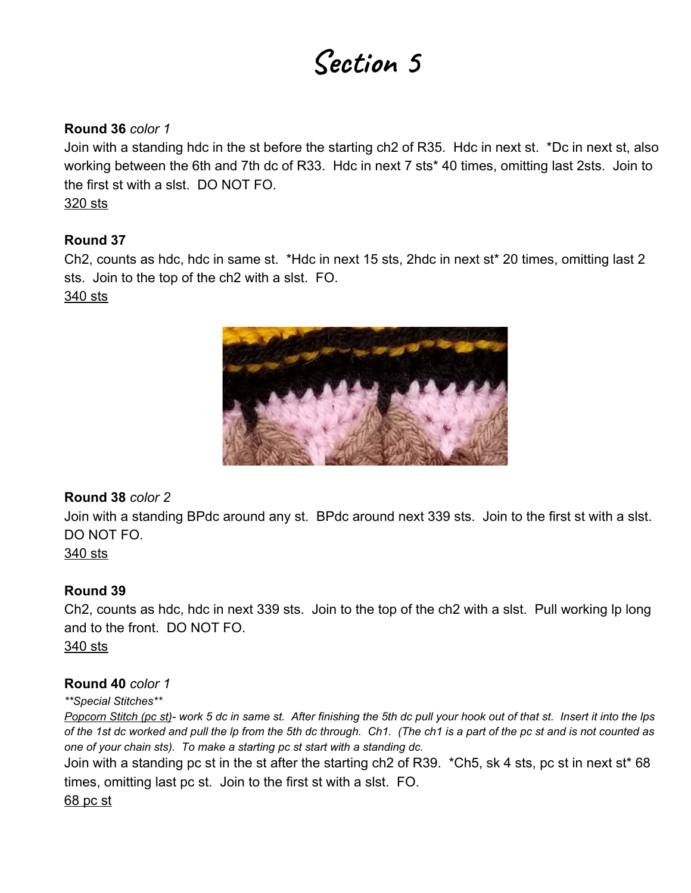# **Section 5**

#### **Round 36** *color 1*

Join with a standing hdc in the st before the starting ch2 of R35. Hdc in next st. \*Dc in next st, also working between the 6th and 7th dc of R33. Hdc in next 7 sts\* 40 times, omitting last 2sts. Join to the first st with a slst. DO NOT FO. 320 sts

#### **Round 37**

Ch2, counts as hdc, hdc in same st. \*Hdc in next 15 sts, 2hdc in next st\* 20 times, omitting last 2 sts. Join to the top of the ch2 with a slst. FO.

340 sts



#### **Round 38** *color 2*

Join with a standing BPdc around any st. BPdc around next 339 sts. Join to the first st with a slst. DO NOT FO.

340 sts

# **Round 39**

Ch2, counts as hdc, hdc in next 339 sts. Join to the top of the ch2 with a slst. Pull working lp long and to the front. DO NOT FO. 340 sts

#### **Round 40** *color 1*

*\*\*Special Stitches\*\**

Popcorn Stitch (pc st)- work 5 dc in same st. After finishing the 5th dc pull your hook out of that st. Insert it into the Ips of the 1st dc worked and pull the Ip from the 5th dc through. Ch1. (The ch1 is a part of the pc st and is not counted as *one of your chain sts). To make a starting pc st start with a standing dc.*

Join with a standing pc st in the st after the starting ch2 of R39. \*Ch5, sk 4 sts, pc st in next st\* 68 times, omitting last pc st. Join to the first st with a slst. FO.

68 pc st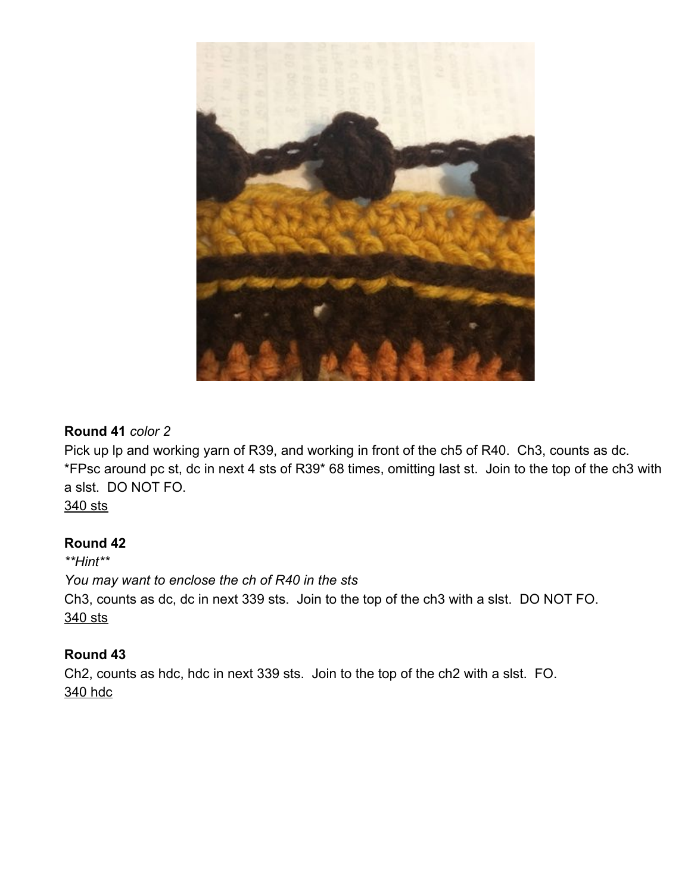

### **Round 41** *color 2*

Pick up Ip and working yarn of R39, and working in front of the ch5 of R40. Ch3, counts as dc. \*FPsc around pc st, dc in next 4 sts of R39\* 68 times, omitting last st. Join to the top of the ch3 with a slst. DO NOT FO.

340 sts

#### **Round 42**

*\*\*Hint\*\* You may want to enclose the ch of R40 in the sts* Ch3, counts as dc, dc in next 339 sts. Join to the top of the ch3 with a slst. DO NOT FO. 340 sts

# **Round 43**

Ch2, counts as hdc, hdc in next 339 sts. Join to the top of the ch2 with a slst. FO. 340 hdc